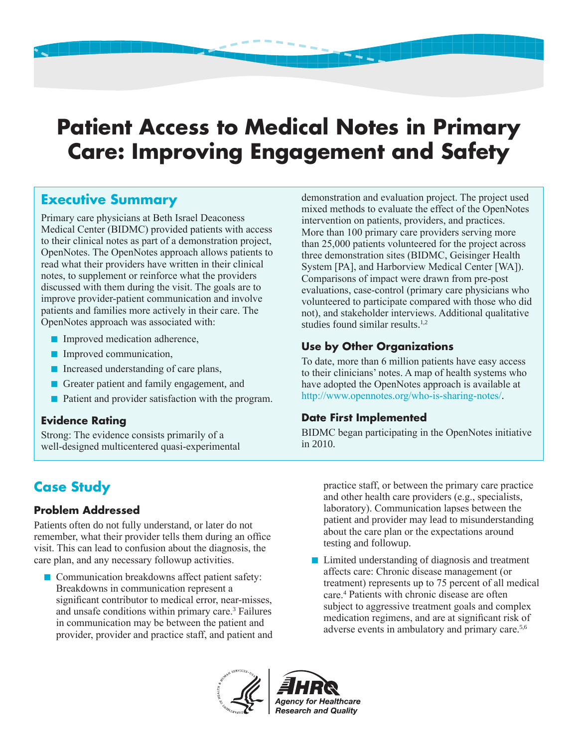# **Patient Access to Medical Notes in Primary Care: Improving Engagement and Safety**

## **Executive Summary**

Primary care physicians at Beth Israel Deaconess Medical Center (BIDMC) provided patients with access to their clinical notes as part of a demonstration project, OpenNotes. The OpenNotes approach allows patients to read what their providers have written in their clinical notes, to supplement or reinforce what the providers discussed with them during the visit. The goals are to improve provider-patient communication and involve patients and families more actively in their care. The OpenNotes approach was associated with:

- Improved medication adherence,
- Improved communication,
- Increased understanding of care plans,
- Greater patient and family engagement, and
- Patient and provider satisfaction with the program.

#### **Evidence Rating**

Strong: The evidence consists primarily of a well-designed multicentered quasi-experimental demonstration and evaluation project. The project used mixed methods to evaluate the effect of the OpenNotes intervention on patients, providers, and practices. More than 100 primary care providers serving more than 25,000 patients volunteered for the project across three demonstration sites (BIDMC, Geisinger Health System [PA], and Harborview Medical Center [WA]). Comparisons of impact were drawn from pre-post evaluations, case-control (primary care physicians who volunteered to participate compared with those who did not), and stakeholder interviews. Additional qualitative studies found similar results.1,2

#### **Use by Other Organizations**

To date, more than 6 million patients have easy access to their clinicians' notes. A map of health systems who have adopted the OpenNotes approach is available at http://www.opennotes.org/who-is-sharing-notes/.

#### **Date First Implemented**

BIDMC began participating in the OpenNotes initiative in 2010.

# **Case Study**

#### **Problem Addressed**

Patients often do not fully understand, or later do not remember, what their provider tells them during an office visit. This can lead to confusion about the diagnosis, the care plan, and any necessary followup activities.

■ Communication breakdowns affect patient safety: Breakdowns in communication represent a significant contributor to medical error, near-misses, and unsafe conditions within primary care.<sup>3</sup> Failures in communication may be between the patient and provider, provider and practice staff, and patient and practice staff, or between the primary care practice and other health care providers (e.g., specialists, laboratory). Communication lapses between the patient and provider may lead to misunderstanding about the care plan or the expectations around testing and followup.

■ Limited understanding of diagnosis and treatment affects care: Chronic disease management (or treatment) represents up to 75 percent of all medical care.<sup>4</sup> Patients with chronic disease are often subject to aggressive treatment goals and complex medication regimens, and are at significant risk of adverse events in ambulatory and primary care.5,6



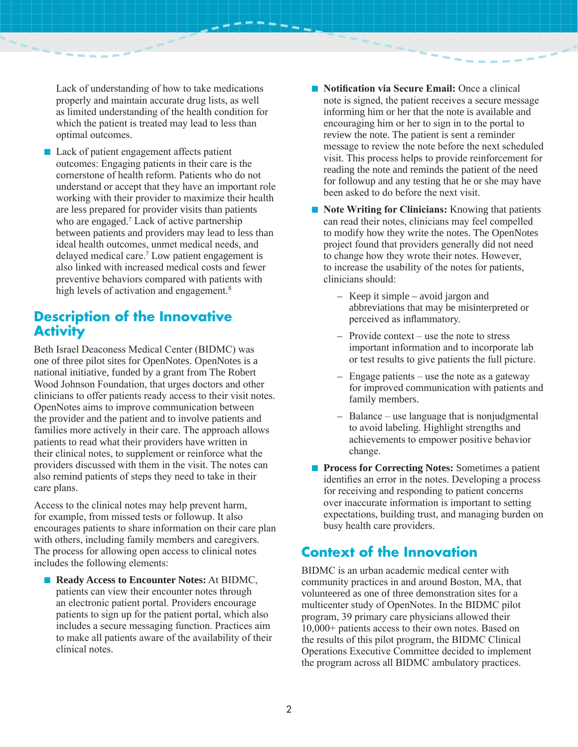Lack of understanding of how to take medications properly and maintain accurate drug lists, as well as limited understanding of the health condition for which the patient is treated may lead to less than optimal outcomes.

■ Lack of patient engagement affects patient outcomes: Engaging patients in their care is the cornerstone of health reform. Patients who do not understand or accept that they have an important role working with their provider to maximize their health are less prepared for provider visits than patients who are engaged.<sup>7</sup> Lack of active partnership between patients and providers may lead to less than ideal health outcomes, unmet medical needs, and delayed medical care.<sup>7</sup> Low patient engagement is also linked with increased medical costs and fewer preventive behaviors compared with patients with high levels of activation and engagement.<sup>8</sup>

#### **Description of the Innovative Activity**

Beth Israel Deaconess Medical Center (BIDMC) was one of three pilot sites for OpenNotes. OpenNotes is a national initiative, funded by a grant from The Robert Wood Johnson Foundation, that urges doctors and other clinicians to offer patients ready access to their visit notes. OpenNotes aims to improve communication between the provider and the patient and to involve patients and families more actively in their care. The approach allows patients to read what their providers have written in their clinical notes, to supplement or reinforce what the providers discussed with them in the visit. The notes can also remind patients of steps they need to take in their care plans.

Access to the clinical notes may help prevent harm, for example, from missed tests or followup. It also encourages patients to share information on their care plan with others, including family members and caregivers. The process for allowing open access to clinical notes includes the following elements:

■ **Ready Access to Encounter Notes:** At BIDMC, patients can view their encounter notes through an electronic patient portal. Providers encourage patients to sign up for the patient portal, which also includes a secure messaging function. Practices aim to make all patients aware of the availability of their clinical notes.

- **Notification via Secure Email:** Once a clinical note is signed, the patient receives a secure message informing him or her that the note is available and encouraging him or her to sign in to the portal to review the note. The patient is sent a reminder message to review the note before the next scheduled visit. This process helps to provide reinforcement for reading the note and reminds the patient of the need for followup and any testing that he or she may have been asked to do before the next visit.
- **Note Writing for Clinicians:** Knowing that patients can read their notes, clinicians may feel compelled to modify how they write the notes. The OpenNotes project found that providers generally did not need to change how they wrote their notes. However, to increase the usability of the notes for patients, clinicians should:
	- Keep it simple avoid jargon and abbreviations that may be misinterpreted or perceived as inflammatory.
	- Provide context use the note to stress important information and to incorporate lab or test results to give patients the full picture.
	- Engage patients use the note as a gateway for improved communication with patients and family members.
	- Balance use language that is nonjudgmental to avoid labeling. Highlight strengths and achievements to empower positive behavior change.
- **Process for Correcting Notes:** Sometimes a patient identifies an error in the notes. Developing a process for receiving and responding to patient concerns over inaccurate information is important to setting expectations, building trust, and managing burden on busy health care providers.

## **Context of the Innovation**

BIDMC is an urban academic medical center with community practices in and around Boston, MA, that volunteered as one of three demonstration sites for a multicenter study of OpenNotes. In the BIDMC pilot program, 39 primary care physicians allowed their 10,000+ patients access to their own notes. Based on the results of this pilot program, the BIDMC Clinical Operations Executive Committee decided to implement the program across all BIDMC ambulatory practices.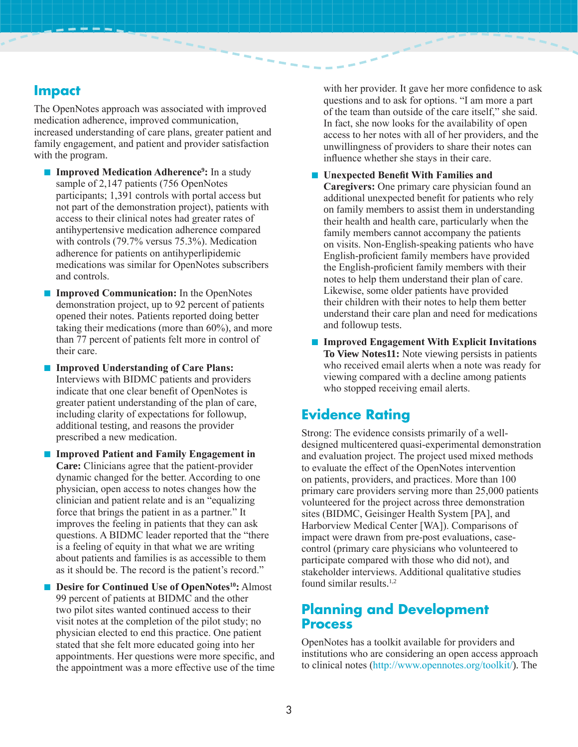## **Impact**

The OpenNotes approach was associated with improved medication adherence, improved communication, increased understanding of care plans, greater patient and family engagement, and patient and provider satisfaction with the program.

- **Improved Medication Adherence<sup>9</sup>:** In a study sample of 2,147 patients (756 OpenNotes participants; 1,391 controls with portal access but not part of the demonstration project), patients with access to their clinical notes had greater rates of antihypertensive medication adherence compared with controls (79.7% versus 75.3%). Medication adherence for patients on antihyperlipidemic medications was similar for OpenNotes subscribers and controls.
- **Improved Communication:** In the OpenNotes demonstration project, up to 92 percent of patients opened their notes. Patients reported doing better taking their medications (more than 60%), and more than 77 percent of patients felt more in control of their care.
- **Improved Understanding of Care Plans:** Interviews with BIDMC patients and providers indicate that one clear benefit of OpenNotes is greater patient understanding of the plan of care, including clarity of expectations for followup, additional testing, and reasons the provider prescribed a new medication.
- **Improved Patient and Family Engagement in Care:** Clinicians agree that the patient-provider dynamic changed for the better. According to one physician, open access to notes changes how the clinician and patient relate and is an "equalizing force that brings the patient in as a partner." It improves the feeling in patients that they can ask questions. A BIDMC leader reported that the "there is a feeling of equity in that what we are writing about patients and families is as accessible to them as it should be. The record is the patient's record."
- **Desire for Continued Use of OpenNotes10:** Almost 99 percent of patients at BIDMC and the other two pilot sites wanted continued access to their visit notes at the completion of the pilot study; no physician elected to end this practice. One patient stated that she felt more educated going into her appointments. Her questions were more specific, and the appointment was a more effective use of the time

with her provider. It gave her more confidence to ask questions and to ask for options. "I am more a part of the team than outside of the care itself," she said. In fact, she now looks for the availability of open access to her notes with all of her providers, and the unwillingness of providers to share their notes can influence whether she stays in their care.

■ **Unexpected Benefit With Families and** 

**Caregivers:** One primary care physician found an additional unexpected benefit for patients who rely on family members to assist them in understanding their health and health care, particularly when the family members cannot accompany the patients on visits. Non-English-speaking patients who have English-proficient family members have provided the English-proficient family members with their notes to help them understand their plan of care. Likewise, some older patients have provided their children with their notes to help them better understand their care plan and need for medications and followup tests.

■ **Improved Engagement With Explicit Invitations To View Notes11:** Note viewing persists in patients who received email alerts when a note was ready for viewing compared with a decline among patients who stopped receiving email alerts.

## **Evidence Rating**

Strong: The evidence consists primarily of a welldesigned multicentered quasi-experimental demonstration and evaluation project. The project used mixed methods to evaluate the effect of the OpenNotes intervention on patients, providers, and practices. More than 100 primary care providers serving more than 25,000 patients volunteered for the project across three demonstration sites (BIDMC, Geisinger Health System [PA], and Harborview Medical Center [WA]). Comparisons of impact were drawn from pre-post evaluations, casecontrol (primary care physicians who volunteered to participate compared with those who did not), and stakeholder interviews. Additional qualitative studies found similar results.<sup>1,2</sup>

## **Planning and Development Process**

OpenNotes has a toolkit available for providers and institutions who are considering an open access approach to clinical notes (http://www.opennotes.org/toolkit/). The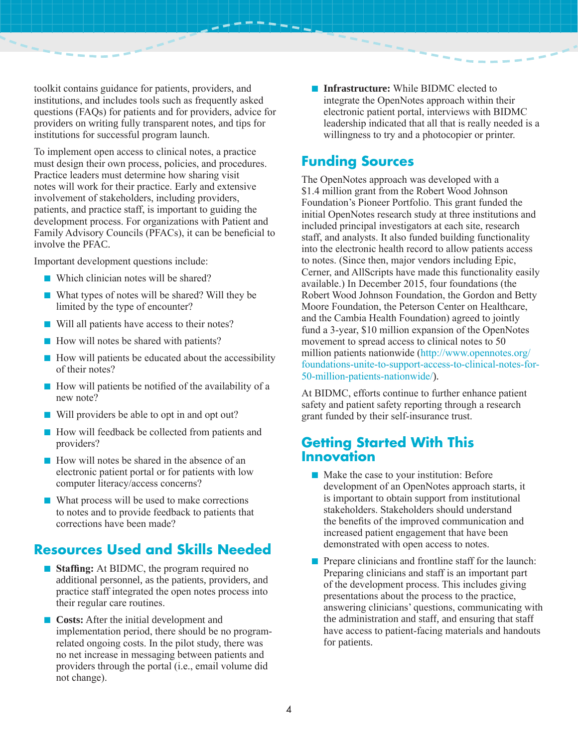toolkit contains guidance for patients, providers, and institutions, and includes tools such as frequently asked questions (FAQs) for patients and for providers, advice for providers on writing fully transparent notes, and tips for institutions for successful program launch.

To implement open access to clinical notes, a practice must design their own process, policies, and procedures. Practice leaders must determine how sharing visit notes will work for their practice. Early and extensive involvement of stakeholders, including providers, patients, and practice staff, is important to guiding the development process. For organizations with Patient and Family Advisory Councils (PFACs), it can be beneficial to involve the PFAC.

Important development questions include:

- Which clinician notes will be shared?
- What types of notes will be shared? Will they be limited by the type of encounter?
- Will all patients have access to their notes?
- How will notes be shared with patients?
- How will patients be educated about the accessibility of their notes?
- How will patients be notified of the availability of a new note?
- Will providers be able to opt in and opt out?
- How will feedback be collected from patients and providers?
- How will notes be shared in the absence of an electronic patient portal or for patients with low computer literacy/access concerns?
- What process will be used to make corrections to notes and to provide feedback to patients that corrections have been made?

# **Resources Used and Skills Needed**

- **Staffing:** At BIDMC, the program required no additional personnel, as the patients, providers, and practice staff integrated the open notes process into their regular care routines.
- **Costs:** After the initial development and implementation period, there should be no programrelated ongoing costs. In the pilot study, there was no net increase in messaging between patients and providers through the portal (i.e., email volume did not change).

■ **Infrastructure:** While BIDMC elected to integrate the OpenNotes approach within their electronic patient portal, interviews with BIDMC leadership indicated that all that is really needed is a willingness to try and a photocopier or printer.

## **Funding Sources**

The OpenNotes approach was developed with a \$1.4 million grant from the Robert Wood Johnson Foundation's Pioneer Portfolio. This grant funded the initial OpenNotes research study at three institutions and included principal investigators at each site, research staff, and analysts. It also funded building functionality into the electronic health record to allow patients access to notes. (Since then, major vendors including Epic, Cerner, and AllScripts have made this functionality easily available.) In December 2015, four foundations (the Robert Wood Johnson Foundation, the Gordon and Betty Moore Foundation, the Peterson Center on Healthcare, and the Cambia Health Foundation) agreed to jointly fund a 3-year, \$10 million expansion of the OpenNotes movement to spread access to clinical notes to 50 million patients nationwide (http://www.opennotes.org/ foundations-unite-to-support-access-to-clinical-notes-for-50-million-patients-nationwide/).

At BIDMC, efforts continue to further enhance patient safety and patient safety reporting through a research grant funded by their self-insurance trust.

## **Getting Started With This Innovation**

- Make the case to your institution: Before development of an OpenNotes approach starts, it is important to obtain support from institutional stakeholders. Stakeholders should understand the benefits of the improved communication and increased patient engagement that have been demonstrated with open access to notes.
- Prepare clinicians and frontline staff for the launch: Preparing clinicians and staff is an important part of the development process. This includes giving presentations about the process to the practice, answering clinicians' questions, communicating with the administration and staff, and ensuring that staff have access to patient-facing materials and handouts for patients.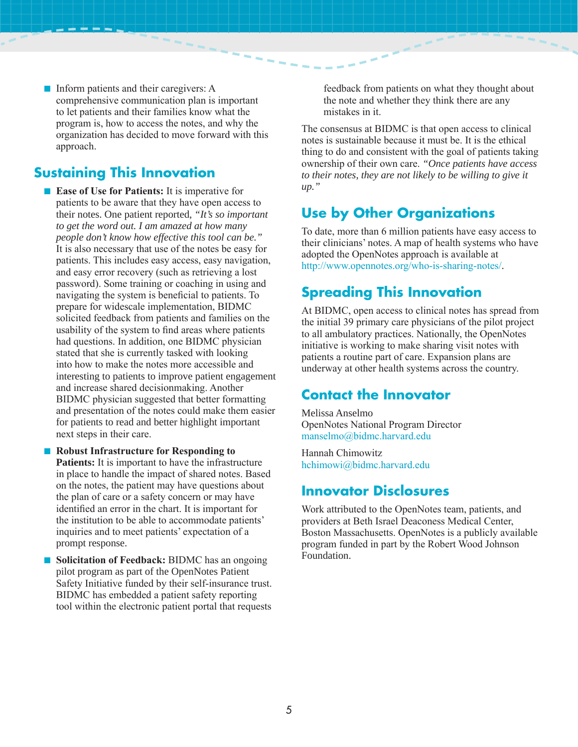■ Inform patients and their caregivers: A comprehensive communication plan is important to let patients and their families know what the program is, how to access the notes, and why the organization has decided to move forward with this approach.

## **Sustaining This Innovation**

■ **Ease of Use for Patients:** It is imperative for patients to be aware that they have open access to their notes. One patient reported, *"It's so important to get the word out. I am amazed at how many people don't know how effective this tool can be."* It is also necessary that use of the notes be easy for patients. This includes easy access, easy navigation, and easy error recovery (such as retrieving a lost password). Some training or coaching in using and navigating the system is beneficial to patients. To prepare for widescale implementation, BIDMC solicited feedback from patients and families on the usability of the system to find areas where patients had questions. In addition, one BIDMC physician stated that she is currently tasked with looking into how to make the notes more accessible and interesting to patients to improve patient engagement and increase shared decisionmaking. Another BIDMC physician suggested that better formatting and presentation of the notes could make them easier for patients to read and better highlight important next steps in their care.

- **Robust Infrastructure for Responding to Patients:** It is important to have the infrastructure in place to handle the impact of shared notes. Base d on the notes, the patient may have questions about the plan of care or a safety concern or may have identified an error in the chart. It is important for the institution to be able to accommodate patients' inquiries and to meet patients' expectation of a prompt response.
- **Solicitation of Feedback:** BIDMC has an ongoing pilot program as part of the OpenNotes Patient Safety Initiative funded by their self-insurance trust. BIDMC has embedded a patient safety reporting tool within the electronic patient portal that requests

feedback from patients on what they thought about the note and whether they think there are any mistakes in it.

The consensus at BIDMC is that open access to clinical notes is sustainable because it must be. It is the ethical thing to do and consistent with the goal of patients taking ownership of their own care. *"Once patients have access to their notes, they are not likely to be willing to give it up."*

## **Use by Other Organizations**

To date, more than 6 million patients have easy access to their clinicians' notes. A map of health systems who have adopted the OpenNotes approach is available at http://www.opennotes.org/who-is-sharing-notes/.

## **Spreading This Innovation**

At BIDMC, open access to clinical notes has spread from the initial 39 primary care physicians of the pilot project to all ambulatory practices. Nationally, the OpenNotes initiative is working to make sharing visit notes with patients a routine part of care. Expansion plans are underway at other health systems across the country.

## **Contact the Innovator**

Melissa Anselmo OpenNotes National Program Director manselmo@bidmc.harvard.edu

Hannah Chimowitz hchimowi@bidmc.harvard.edu

## **Innovator Disclosures**

Work attributed to the OpenNotes team, patients, and providers at Beth Israel Deaconess Medical Center, Boston Massachusetts. OpenNotes is a publicly available program funded in part by the Robert Wood Johnson Foundation.